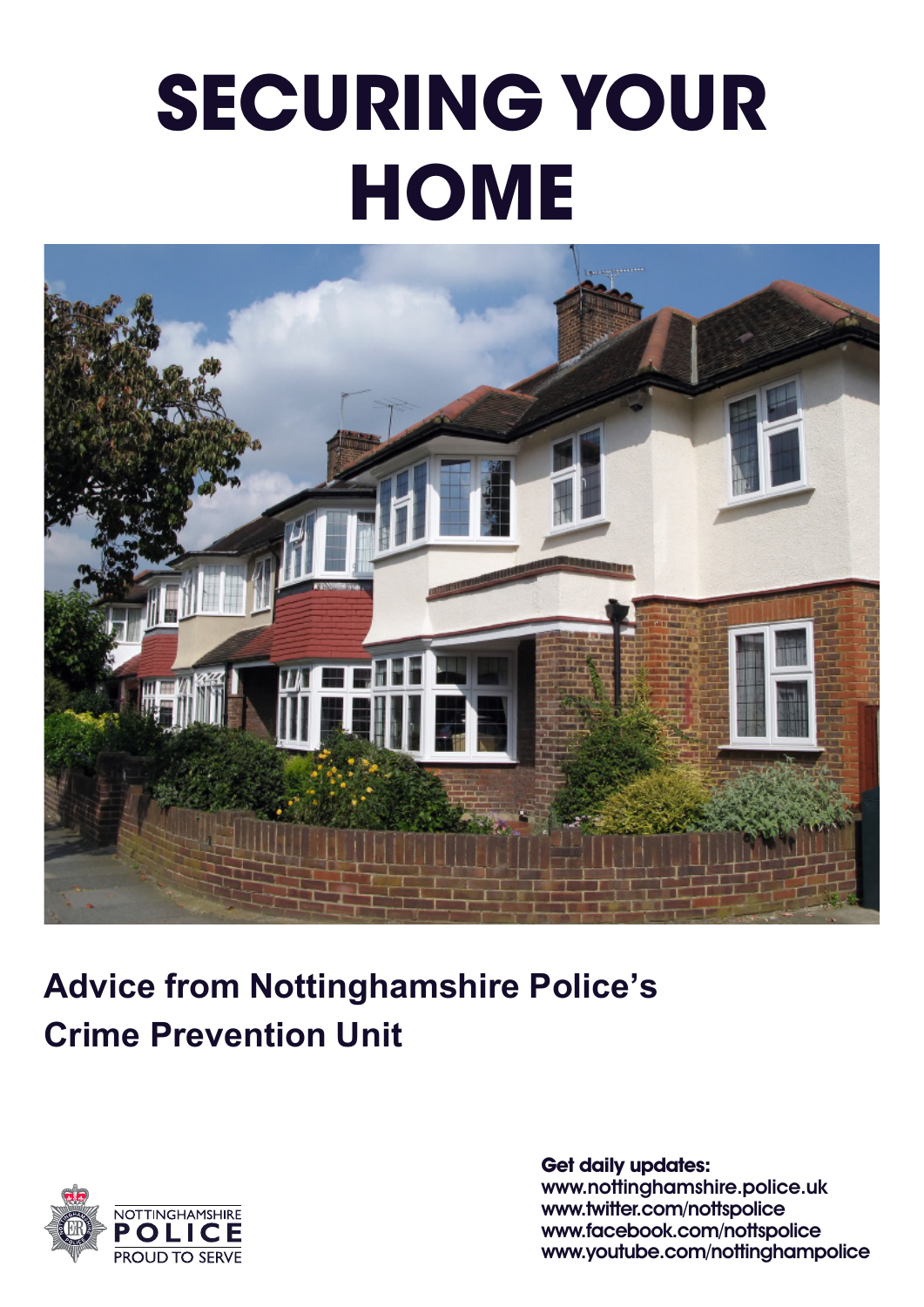# **SECURING YOUR HOME**



# **Advice from Nottinghamshire Police's Crime Prevention Unit**



**Get daily updates:**

www.nottinghamshire.police.uk www.twitter.com/nottspolice www.facebook.com/nottspolice www.youtube.com/nottinghampolice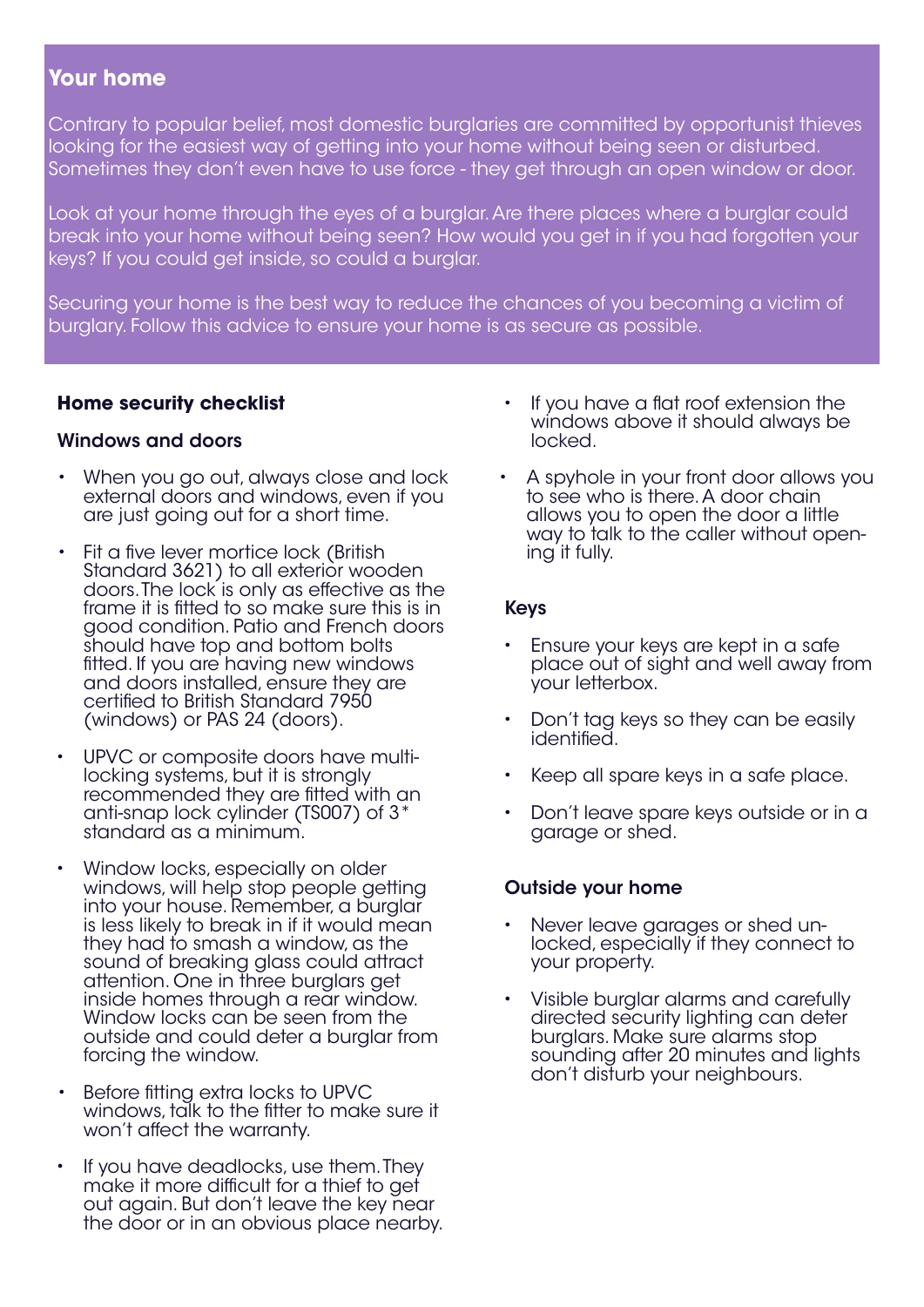# **Your home**

Contrary to popular belief, most domestic burglaries are committed by opportunist thieves looking for the easiest way of getting into your home without being seen or disturbed. Sometimes they don't even have to use force - they get through an open window or door.

Look at your home through the eyes of a burglar.Are there places where a burglar could break into your home without being seen? How would you get in if you had forgotten your keys? If you could get inside, so could a burglar.

Securing your home is the best way to reduce the chances of you becoming a victim of burglary. Follow this advice to ensure your home is as secure as possible.

# **Home security checklist**

# Windows and doors

- When you go out, always close and lock external doors and windows, even if you are just going out for a short time.
- Fit a five lever mortice lock (British Standard 3621) to all exterior wooden doors.The lock is only as effective as the frame it is fitted to so make sure this is in good condition. Patio and French doors should have top and bottom bolts fitted. If you are having new windows and doors installed, ensure they are certified to British Standard 7950 (windows) or PAS 24 (doors).
- UPVC or composite doors have multilocking systems, but it is strongly recommended they are fitted with an anti-snap lock cylinder (TS007) of 3\* standard as a minimum.
- Window locks, especially on older windows, will help stop people getting into your house. Remember, a burglar is less likely to break in if it would mean they had to smash a window, as the sound of breaking glass could attract attention. One in three burglars get inside homes through a rear window. Window locks can be seen from the outside and could deter a burglar from forcing the window.
- Before fitting extra locks to UPVC windows, talk to the fitter to make sure it won't affect the warranty.
- If you have deadlocks, use them. They make it more difficult for a thief to get out again. But don't leave the key near the door or in an obvious place nearby.
- If you have a flat roof extension the windows above it should always be locked.
- A spyhole in your front door allows you to see who is there.A door chain allows you to open the door a little way to talk to the caller without opening it fully.

# Keys

- Ensure your keys are kept in a safe place out of sight and well away from your letterbox.
- Don't tag keys so they can be easily identified.
- Keep all spare keys in a safe place.
- Don't leave spare keys outside or in a garage or shed.

# Outside your home

- Never leave garages or shed unlocked, especially if they connect to your property.
- Visible burglar alarms and carefully directed security lighting can deter burglars. Make sure alarms stop sounding after 20 minutes and liahts don't disturb your neighbours.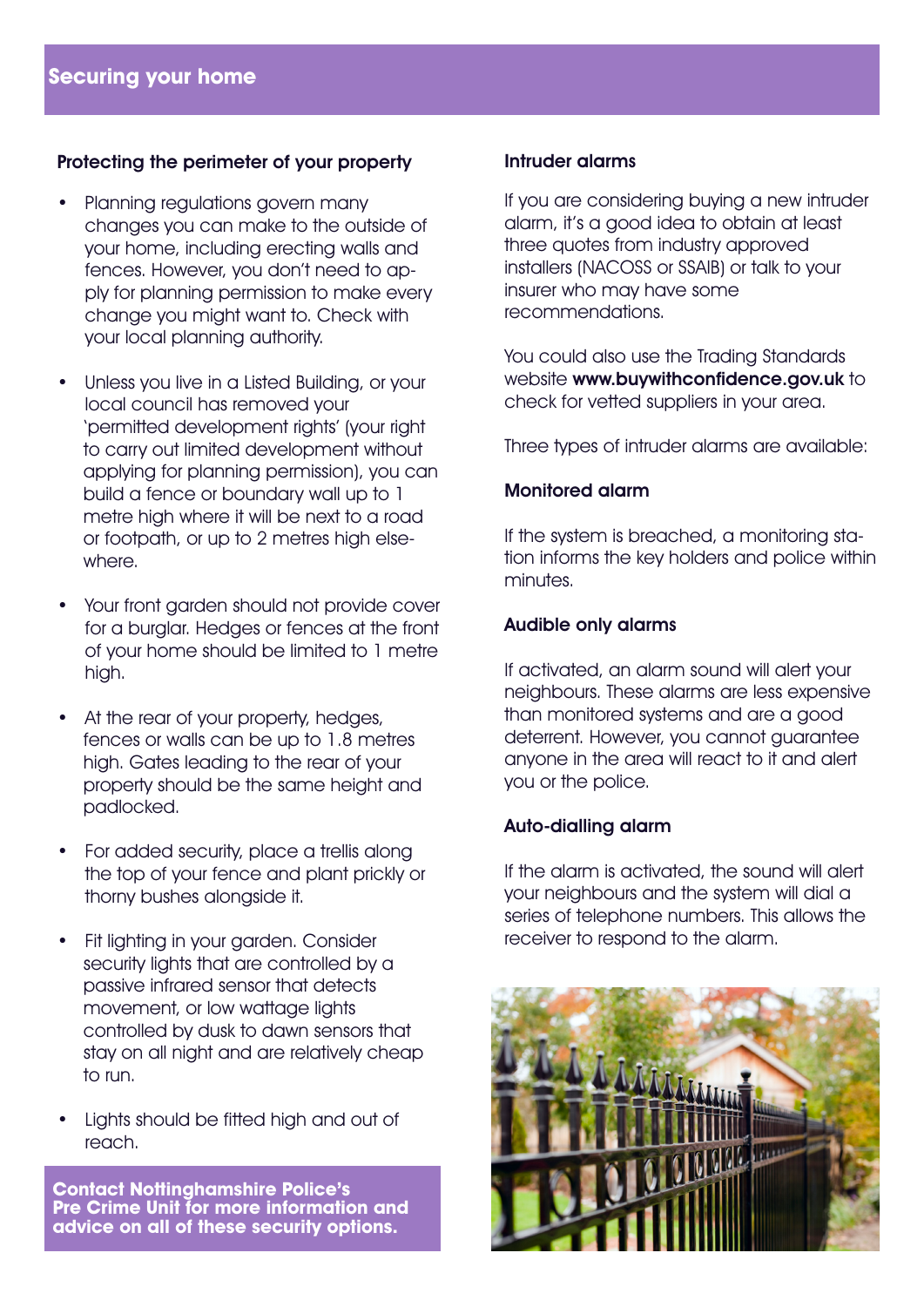# Protecting the perimeter of your property

- Planning regulations govern many changes you can make to the outside of your home, including erecting walls and fences. However, you don't need to apply for planning permission to make every change you might want to. Check with your local planning authority.
- Unless you live in a Listed Building, or your local council has removed your 'permitted development rights' (your right to carry out limited development without applying for planning permission), you can build a fence or boundary wall up to 1 metre high where it will be next to a road or footpath, or up to 2 metres high elsewhere.
- Your front garden should not provide cover for a burglar. Hedges or fences at the front of your home should be limited to 1 metre high.
- At the rear of your property, hedges, fences or walls can be up to 1.8 metres high. Gates leading to the rear of your property should be the same height and padlocked.
- For added security, place a trellis along the top of your fence and plant prickly or thorny bushes alongside it.
- Fit lighting in your garden. Consider security lights that are controlled by a passive infrared sensor that detects movement, or low wattage lights controlled by dusk to dawn sensors that stay on all night and are relatively cheap to run.
- Lights should be fitted high and out of reach.

**Contact Nottinghamshire Police's Pre Crime Unit for more information and advice on all of these security options.**

# Intruder alarms

If you are considering buying a new intruder alarm, it's a good idea to obtain at least three quotes from industry approved installers (NACOSS or SSAIB) or talk to your insurer who may have some recommendations.

You could also use the Trading Standards website www.buywithconfidence.gov.uk to check for vetted suppliers in your area.

Three types of intruder alarms are available:

# Monitored alarm

If the system is breached, a monitoring station informs the key holders and police within minutes.

# Audible only alarms

If activated, an alarm sound will alert your neighbours. These alarms are less expensive than monitored systems and are a good deterrent. However, you cannot guarantee anyone in the area will react to it and alert you or the police.

# Auto-dialling alarm

If the alarm is activated, the sound will alert your neighbours and the system will dial a series of telephone numbers. This allows the receiver to respond to the alarm.

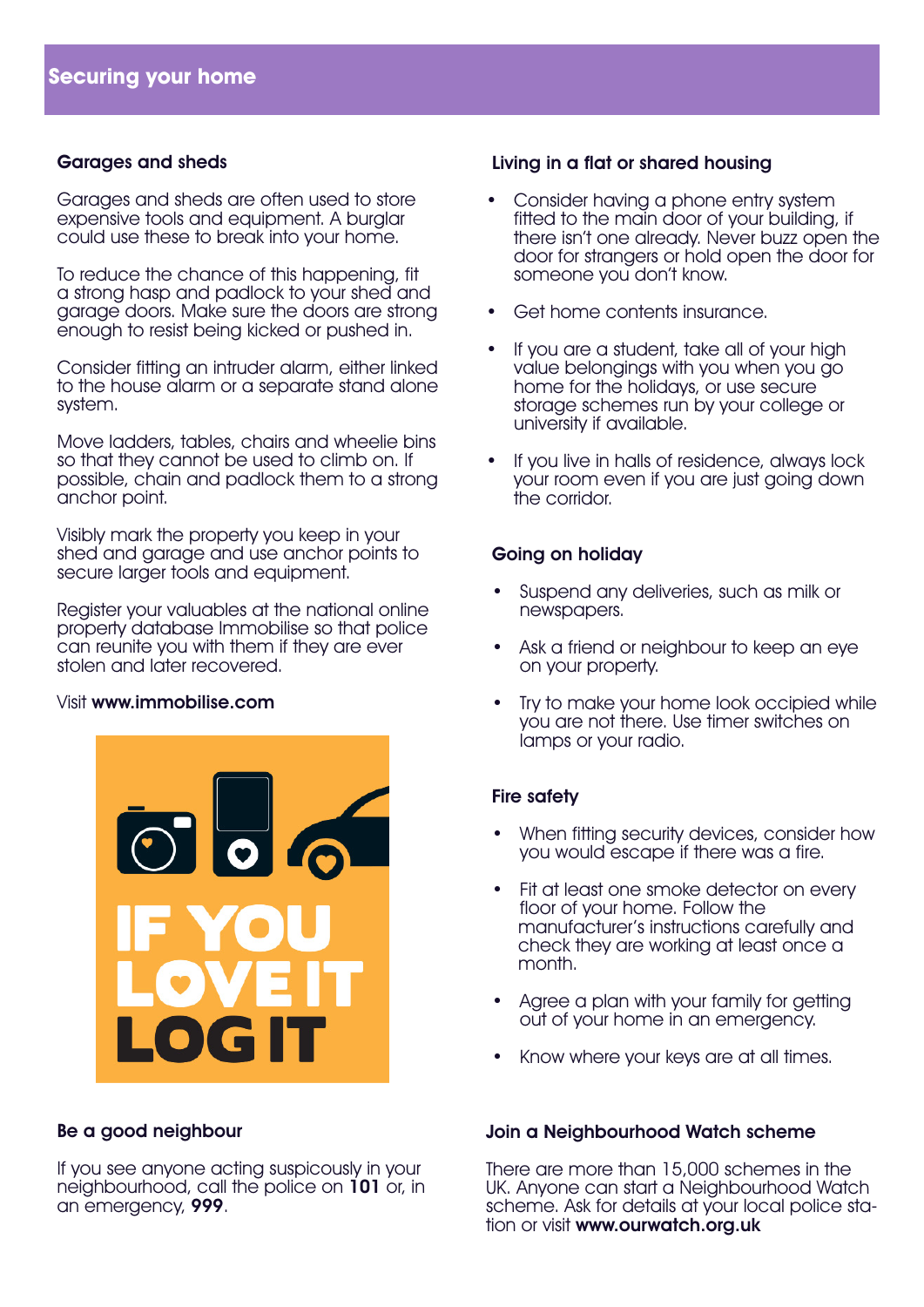# Garages and sheds

Garages and sheds are often used to store expensive tools and equipment. A burglar could use these to break into your home.

To reduce the chance of this happening, fit a strong hasp and padlock to your shed and garage doors. Make sure the doors are strong enough to resist being kicked or pushed in.

Consider fitting an intruder alarm, either linked to the house alarm or a separate stand alone system.

Move ladders, tables, chairs and wheelie bins so that they cannot be used to climb on. If possible, chain and padlock them to a strong anchor point.

Visibly mark the property you keep in your shed and garage and use anchor points to secure larger tools and equipment.

Register your valuables at the national online property database Immobilise so that police can reunite you with them if they are ever stolen and later recovered.

#### Visit www.immobilise.com



#### Be a good neighbour

If you see anyone acting suspicously in your neighbourhood, call the police on 101 or, in an emergency, 999.

# Living in a flat or shared housing

- Consider having a phone entry system fitted to the main door of your building, if there isn't one already. Never buzz open the door for strangers or hold open the door for someone you don't know.
- Get home contents insurance.
- If you are a student, take all of your high value belongings with you when you go home for the holidays, or use secure storage schemes run by your college or university if available.
- If you live in halls of residence, always lock your room even if you are just going down the corridor.

#### Going on holiday

- Suspend any deliveries, such as milk or newspapers.
- Ask a friend or neighbour to keep an eye on your property.
- Try to make your home look occipied while you are not there. Use timer switches on lamps or your radio.

# Fire safety

- When fitting security devices, consider how you would escape if there was a fire.
- Fit at least one smoke detector on every floor of your home. Follow the manufacturer's instructions carefully and check they are working at least once a month.
- Agree a plan with your family for getting out of your home in an emergency.
- Know where your keys are at all times.

#### Join a Neighbourhood Watch scheme

There are more than 15,000 schemes in the UK. Anyone can start a Neighbourhood Watch scheme. Ask for details at your local police station or visit www.ourwatch.org.uk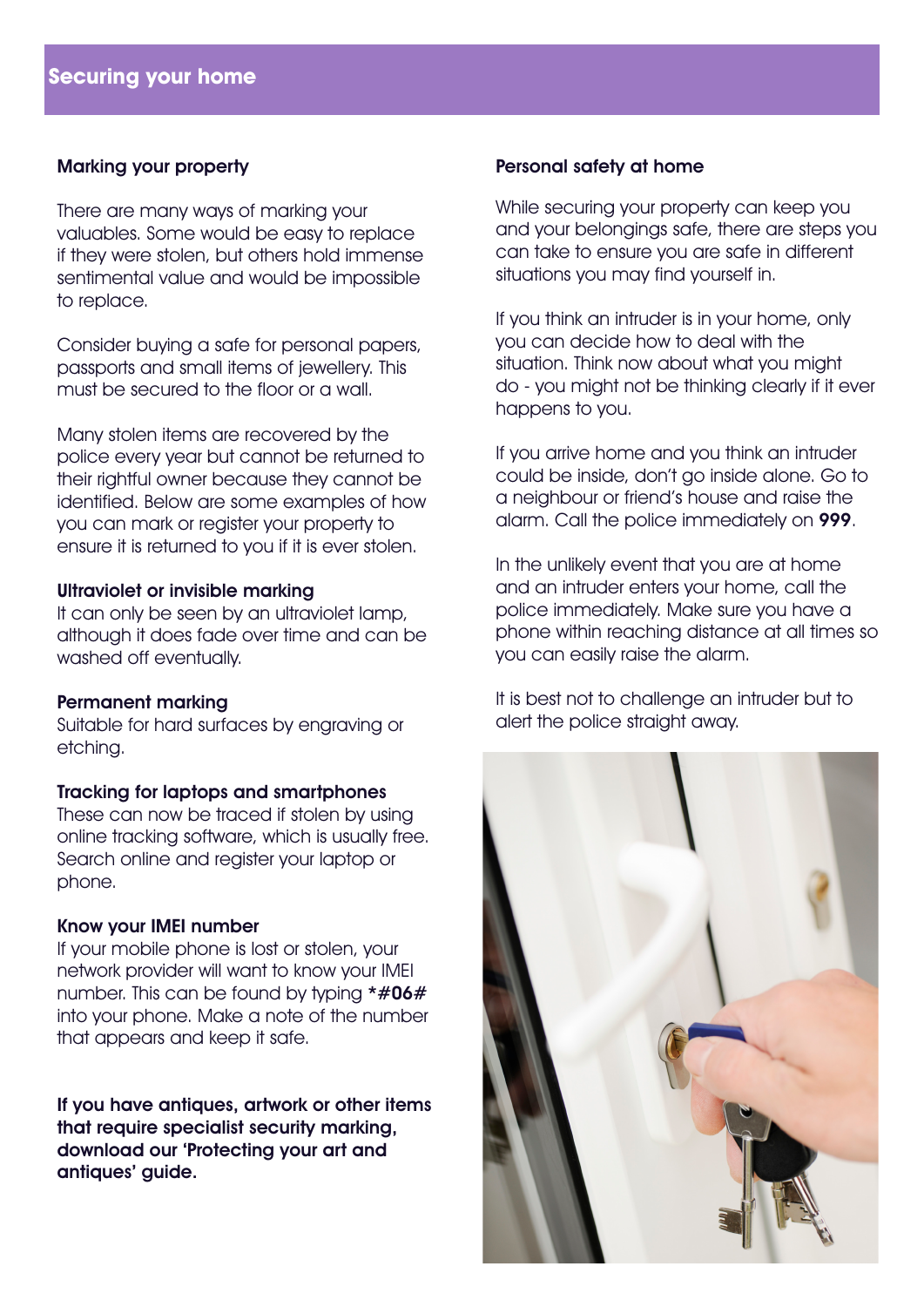#### Marking your property

There are many ways of marking your valuables. Some would be easy to replace if they were stolen, but others hold immense sentimental value and would be impossible to replace.

Consider buying a safe for personal papers, passports and small items of jewellery. This must be secured to the floor or a wall.

Many stolen items are recovered by the police every year but cannot be returned to their rightful owner because they cannot be identified. Below are some examples of how you can mark or register your property to ensure it is returned to you if it is ever stolen.

#### Ultraviolet or invisible marking

It can only be seen by an ultraviolet lamp, although it does fade over time and can be washed off eventually.

#### Permanent marking

Suitable for hard surfaces by engraving or etching.

#### Tracking for laptops and smartphones

These can now be traced if stolen by using online tracking software, which is usually free. Search online and register your laptop or phone.

# Know your IMEI number

If your mobile phone is lost or stolen, your network provider will want to know your IMEI number. This can be found by typing \*#06# into your phone. Make a note of the number that appears and keep it safe.

If you have antiques, artwork or other items that require specialist security marking, download our 'Protecting your art and antiques' guide.

#### Personal safety at home

While securing your property can keep you and your belongings safe, there are steps you can take to ensure you are safe in different situations you may find yourself in.

If you think an intruder is in your home, only you can decide how to deal with the situation. Think now about what you might do - you might not be thinking clearly if it ever happens to you.

If you arrive home and you think an intruder could be inside, don't go inside alone. Go to a neighbour or friend's house and raise the alarm. Call the police immediately on 999.

In the unlikely event that you are at home and an intruder enters your home, call the police immediately. Make sure you have a phone within reaching distance at all times so you can easily raise the alarm.

It is best not to challenge an intruder but to alert the police straight away.

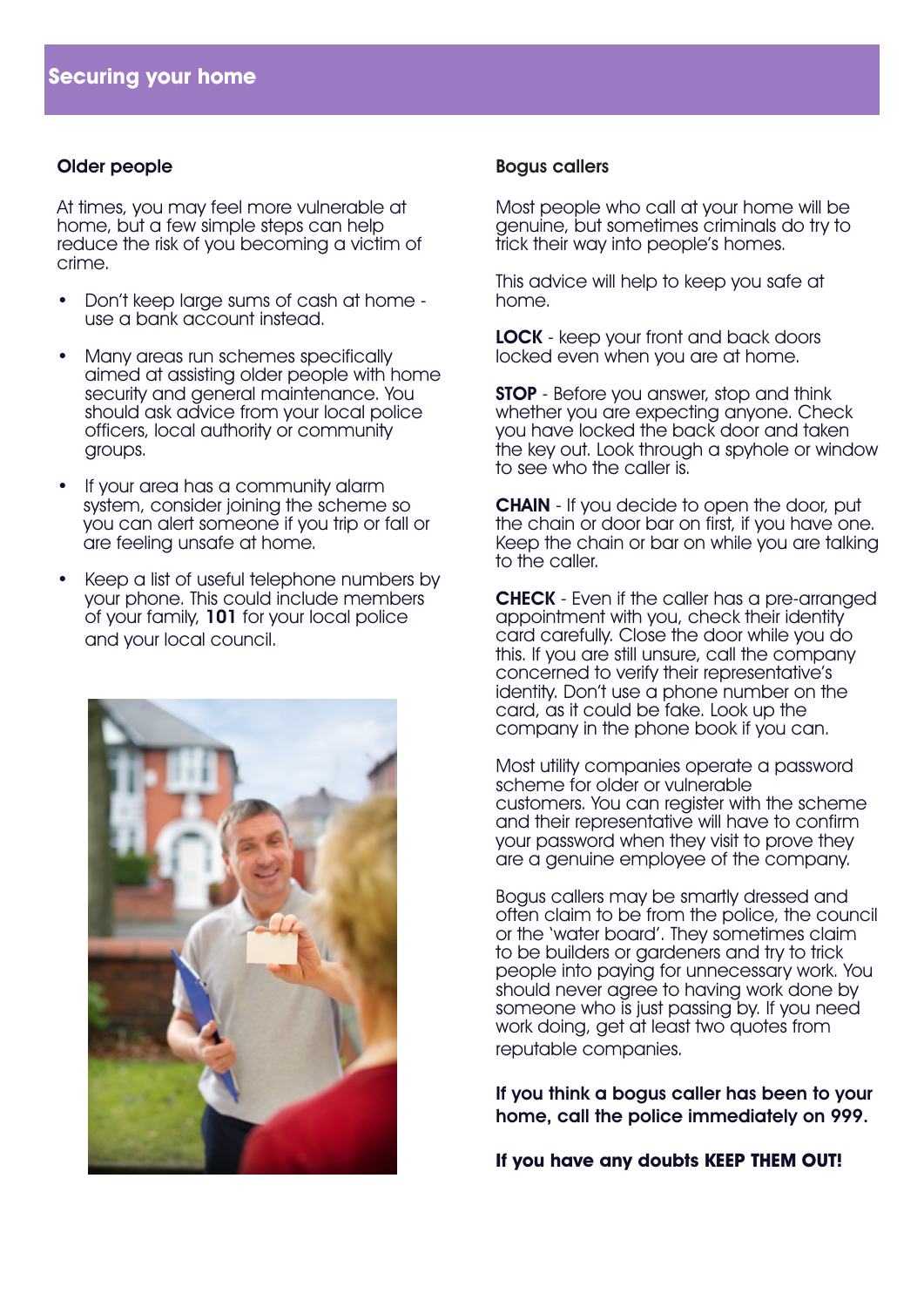#### Older people

At times, you may feel more vulnerable at home, but a few simple steps can help reduce the risk of you becoming a victim of crime.

- Don't keep large sums of cash at home use a bank account instead.
- Many areas run schemes specifically aimed at assisting older people with home security and general maintenance. You should ask advice from your local police officers, local authority or community groups.
- If your area has a community alarm system, consider joining the scheme so you can alert someone if you trip or fall or are feeling unsafe at home.
- Keep a list of useful telephone numbers by your phone. This could include members of your family, 101 for your local police and your local council.



#### Bogus callers

Most people who call at your home will be genuine, but sometimes criminals do try to trick their way into people's homes.

This advice will help to keep you safe at home.

LOCK - keep your front and back doors locked even when you are at home.

**STOP** - Before you answer, stop and think whether you are expecting anyone. Check you have locked the back door and taken the key out. Look through a spyhole or window to see who the caller is.

CHAIN - If you decide to open the door, put the chain or door bar on first, if you have one. Keep the chain or bar on while you are talking to the caller.

CHECK - Even if the caller has a pre-arranged appointment with you, check their identity card carefully. Close the door while you do this. If you are still unsure, call the company concerned to verify their representative's identity. Don't use a phone number on the card, as it could be fake. Look up the company in the phone book if you can.

Most utility companies operate a password scheme for older or vulnerable customers. You can register with the scheme and their representative will have to confirm your password when they visit to prove they are a genuine employee of the company.

Bogus callers may be smartly dressed and often claim to be from the police, the council or the 'water board'. They sometimes claim to be builders or gardeners and try to trick people into paying for unnecessary work. You should never agree to having work done by someone who is just passing by. If you need work doing, get at least two quotes from reputable companies.

If you think a bogus caller has been to your home, call the police immediately on 999.

**If you have any doubts KEEP THEM OUT!**